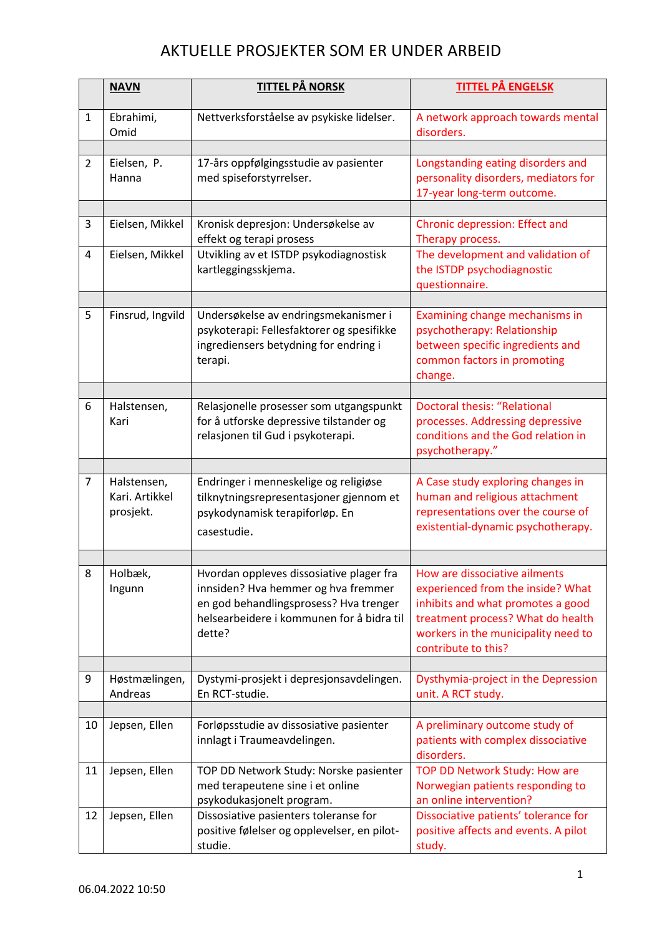## AKTUELLE PROSJEKTER SOM ER UNDER ARBEID

|                | <b>NAVN</b>                                | <u>TITTEL PÅ NORSK</u>                                                                                                                                                                                           | <b>TITTEL PÅ ENGELSK</b>                                                                                                                                                  |
|----------------|--------------------------------------------|------------------------------------------------------------------------------------------------------------------------------------------------------------------------------------------------------------------|---------------------------------------------------------------------------------------------------------------------------------------------------------------------------|
| $\mathbf{1}$   | Ebrahimi,<br>Omid                          | Nettverksforståelse av psykiske lidelser.                                                                                                                                                                        | A network approach towards mental<br>disorders.                                                                                                                           |
|                |                                            |                                                                                                                                                                                                                  |                                                                                                                                                                           |
| $\overline{2}$ | Eielsen, P.<br>Hanna                       | 17-års oppfølgingsstudie av pasienter<br>med spiseforstyrrelser.                                                                                                                                                 | Longstanding eating disorders and<br>personality disorders, mediators for<br>17-year long-term outcome.                                                                   |
| 3              |                                            |                                                                                                                                                                                                                  |                                                                                                                                                                           |
|                | Eielsen, Mikkel                            | Kronisk depresjon: Undersøkelse av<br>effekt og terapi prosess                                                                                                                                                   | Chronic depression: Effect and<br>Therapy process.                                                                                                                        |
| 4              | Eielsen, Mikkel                            | Utvikling av et ISTDP psykodiagnostisk<br>kartleggingsskjema.                                                                                                                                                    | The development and validation of<br>the ISTDP psychodiagnostic<br>questionnaire.                                                                                         |
|                |                                            |                                                                                                                                                                                                                  |                                                                                                                                                                           |
| 5              | Finsrud, Ingvild                           | Undersøkelse av endringsmekanismer i<br>psykoterapi: Fellesfaktorer og spesifikke<br>ingrediensers betydning for endring i<br>terapi.                                                                            | Examining change mechanisms in<br>psychotherapy: Relationship<br>between specific ingredients and<br>common factors in promoting<br>change.                               |
|                |                                            |                                                                                                                                                                                                                  |                                                                                                                                                                           |
| 6              | Halstensen,<br>Kari                        | Relasjonelle prosesser som utgangspunkt<br>for å utforske depressive tilstander og<br>relasjonen til Gud i psykoterapi.                                                                                          | <b>Doctoral thesis: "Relational</b><br>processes. Addressing depressive<br>conditions and the God relation in<br>psychotherapy."                                          |
|                |                                            |                                                                                                                                                                                                                  |                                                                                                                                                                           |
| $\overline{7}$ | Halstensen,<br>Kari. Artikkel<br>prosjekt. | Endringer i menneskelige og religiøse<br>tilknytningsrepresentasjoner gjennom et<br>psykodynamisk terapiforløp. En<br>casestudie.                                                                                | A Case study exploring changes in<br>human and religious attachment<br>representations over the course of<br>existential-dynamic psychotherapy.                           |
|                |                                            |                                                                                                                                                                                                                  |                                                                                                                                                                           |
| 8              | Holbæk,<br>Ingunn                          | Hvordan oppleves dissosiative plager fra   How are dissociative ailments<br>innsiden? Hva hemmer og hva fremmer<br>en god behandlingsprosess? Hva trenger<br>helsearbeidere i kommunen for å bidra til<br>dette? | experienced from the inside? What<br>inhibits and what promotes a good<br>treatment process? What do health<br>workers in the municipality need to<br>contribute to this? |
|                |                                            |                                                                                                                                                                                                                  |                                                                                                                                                                           |
| 9              | Høstmælingen,<br>Andreas                   | Dystymi-prosjekt i depresjonsavdelingen.<br>En RCT-studie.                                                                                                                                                       | Dysthymia-project in the Depression<br>unit. A RCT study.                                                                                                                 |
|                |                                            |                                                                                                                                                                                                                  |                                                                                                                                                                           |
| 10             | Jepsen, Ellen                              | Forløpsstudie av dissosiative pasienter<br>innlagt i Traumeavdelingen.                                                                                                                                           | A preliminary outcome study of<br>patients with complex dissociative<br>disorders.                                                                                        |
| 11             | Jepsen, Ellen                              | TOP DD Network Study: Norske pasienter<br>med terapeutene sine i et online<br>psykodukasjonelt program.                                                                                                          | TOP DD Network Study: How are<br>Norwegian patients responding to<br>an online intervention?                                                                              |
| 12             | Jepsen, Ellen                              | Dissosiative pasienters toleranse for<br>positive følelser og opplevelser, en pilot-<br>studie.                                                                                                                  | Dissociative patients' tolerance for<br>positive affects and events. A pilot<br>study.                                                                                    |